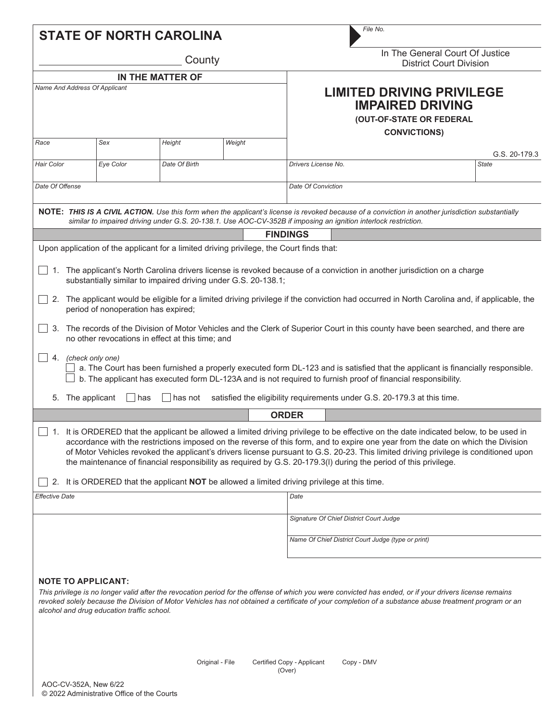|                                                                                                                                                                                                                                                                                                                                                                                                                                                                                                                                                                                                                                                                                                                                                                                                                                                                                                                                                                                         |                                                                                                        |           | <b>STATE OF NORTH CAROLINA</b>                                                           |        |                                                                                         |                                                                   | File No.                                |                        |  |
|-----------------------------------------------------------------------------------------------------------------------------------------------------------------------------------------------------------------------------------------------------------------------------------------------------------------------------------------------------------------------------------------------------------------------------------------------------------------------------------------------------------------------------------------------------------------------------------------------------------------------------------------------------------------------------------------------------------------------------------------------------------------------------------------------------------------------------------------------------------------------------------------------------------------------------------------------------------------------------------------|--------------------------------------------------------------------------------------------------------|-----------|------------------------------------------------------------------------------------------|--------|-----------------------------------------------------------------------------------------|-------------------------------------------------------------------|-----------------------------------------|------------------------|--|
| County                                                                                                                                                                                                                                                                                                                                                                                                                                                                                                                                                                                                                                                                                                                                                                                                                                                                                                                                                                                  |                                                                                                        |           |                                                                                          |        |                                                                                         | In The General Court Of Justice<br><b>District Court Division</b> |                                         |                        |  |
| IN THE MATTER OF                                                                                                                                                                                                                                                                                                                                                                                                                                                                                                                                                                                                                                                                                                                                                                                                                                                                                                                                                                        |                                                                                                        |           |                                                                                          |        |                                                                                         |                                                                   |                                         |                        |  |
| Name And Address Of Applicant                                                                                                                                                                                                                                                                                                                                                                                                                                                                                                                                                                                                                                                                                                                                                                                                                                                                                                                                                           |                                                                                                        |           |                                                                                          |        | <b>LIMITED DRIVING PRIVILEGE</b><br><b>IMPAIRED DRIVING</b><br>(OUT-OF-STATE OR FEDERAL |                                                                   |                                         |                        |  |
| Race                                                                                                                                                                                                                                                                                                                                                                                                                                                                                                                                                                                                                                                                                                                                                                                                                                                                                                                                                                                    |                                                                                                        | Sex       | Height                                                                                   | Weight |                                                                                         |                                                                   | <b>CONVICTIONS)</b>                     |                        |  |
| Hair Color                                                                                                                                                                                                                                                                                                                                                                                                                                                                                                                                                                                                                                                                                                                                                                                                                                                                                                                                                                              |                                                                                                        | Eye Color | Date Of Birth                                                                            |        | Drivers License No.                                                                     |                                                                   |                                         | G.S. 20-179.3<br>State |  |
| Date Of Offense                                                                                                                                                                                                                                                                                                                                                                                                                                                                                                                                                                                                                                                                                                                                                                                                                                                                                                                                                                         |                                                                                                        |           |                                                                                          |        | <b>Date Of Conviction</b>                                                               |                                                                   |                                         |                        |  |
| NOTE: THIS IS A CIVIL ACTION. Use this form when the applicant's license is revoked because of a conviction in another jurisdiction substantially<br>similar to impaired driving under G.S. 20-138.1. Use AOC-CV-352B if imposing an ignition interlock restriction.                                                                                                                                                                                                                                                                                                                                                                                                                                                                                                                                                                                                                                                                                                                    |                                                                                                        |           |                                                                                          |        |                                                                                         |                                                                   |                                         |                        |  |
|                                                                                                                                                                                                                                                                                                                                                                                                                                                                                                                                                                                                                                                                                                                                                                                                                                                                                                                                                                                         |                                                                                                        |           |                                                                                          |        | <b>FINDINGS</b>                                                                         |                                                                   |                                         |                        |  |
|                                                                                                                                                                                                                                                                                                                                                                                                                                                                                                                                                                                                                                                                                                                                                                                                                                                                                                                                                                                         |                                                                                                        |           | Upon application of the applicant for a limited driving privilege, the Court finds that: |        |                                                                                         |                                                                   |                                         |                        |  |
| 1. The applicant's North Carolina drivers license is revoked because of a conviction in another jurisdiction on a charge<br>substantially similar to impaired driving under G.S. 20-138.1;<br>2. The applicant would be eligible for a limited driving privilege if the conviction had occurred in North Carolina and, if applicable, the<br>period of nonoperation has expired;<br>3. The records of the Division of Motor Vehicles and the Clerk of Superior Court in this county have been searched, and there are<br>no other revocations in effect at this time; and<br>4. (check only one)<br>a. The Court has been furnished a properly executed form DL-123 and is satisfied that the applicant is financially responsible.<br>b. The applicant has executed form DL-123A and is not required to furnish proof of financial responsibility.<br>satisfied the eligibility requirements under G.S. 20-179.3 at this time.<br>5. The applicant<br>  has<br>has not<br><b>ORDER</b> |                                                                                                        |           |                                                                                          |        |                                                                                         |                                                                   |                                         |                        |  |
| 1. It is ORDERED that the applicant be allowed a limited driving privilege to be effective on the date indicated below, to be used in<br>accordance with the restrictions imposed on the reverse of this form, and to expire one year from the date on which the Division<br>of Motor Vehicles revoked the applicant's drivers license pursuant to G.S. 20-23. This limited driving privilege is conditioned upon<br>the maintenance of financial responsibility as required by G.S. 20-179.3(I) during the period of this privilege.                                                                                                                                                                                                                                                                                                                                                                                                                                                   |                                                                                                        |           |                                                                                          |        |                                                                                         |                                                                   |                                         |                        |  |
|                                                                                                                                                                                                                                                                                                                                                                                                                                                                                                                                                                                                                                                                                                                                                                                                                                                                                                                                                                                         | It is ORDERED that the applicant <b>NOT</b> be allowed a limited driving privilege at this time.<br>2. |           |                                                                                          |        |                                                                                         |                                                                   |                                         |                        |  |
| <b>Effective Date</b>                                                                                                                                                                                                                                                                                                                                                                                                                                                                                                                                                                                                                                                                                                                                                                                                                                                                                                                                                                   |                                                                                                        |           |                                                                                          |        | Date                                                                                    |                                                                   |                                         |                        |  |
|                                                                                                                                                                                                                                                                                                                                                                                                                                                                                                                                                                                                                                                                                                                                                                                                                                                                                                                                                                                         |                                                                                                        |           |                                                                                          |        |                                                                                         |                                                                   | Signature Of Chief District Court Judge |                        |  |
|                                                                                                                                                                                                                                                                                                                                                                                                                                                                                                                                                                                                                                                                                                                                                                                                                                                                                                                                                                                         |                                                                                                        |           |                                                                                          |        |                                                                                         | Name Of Chief District Court Judge (type or print)                |                                         |                        |  |
| <b>NOTE TO APPLICANT:</b><br>This privilege is no longer valid after the revocation period for the offense of which you were convicted has ended, or if your drivers license remains<br>revoked solely because the Division of Motor Vehicles has not obtained a certificate of your completion of a substance abuse treatment program or an<br>alcohol and drug education traffic school.<br>Original - File<br>Certified Copy - Applicant<br>Copy - DMV                                                                                                                                                                                                                                                                                                                                                                                                                                                                                                                               |                                                                                                        |           |                                                                                          |        |                                                                                         |                                                                   |                                         |                        |  |
| (Over)                                                                                                                                                                                                                                                                                                                                                                                                                                                                                                                                                                                                                                                                                                                                                                                                                                                                                                                                                                                  |                                                                                                        |           |                                                                                          |        |                                                                                         |                                                                   |                                         |                        |  |